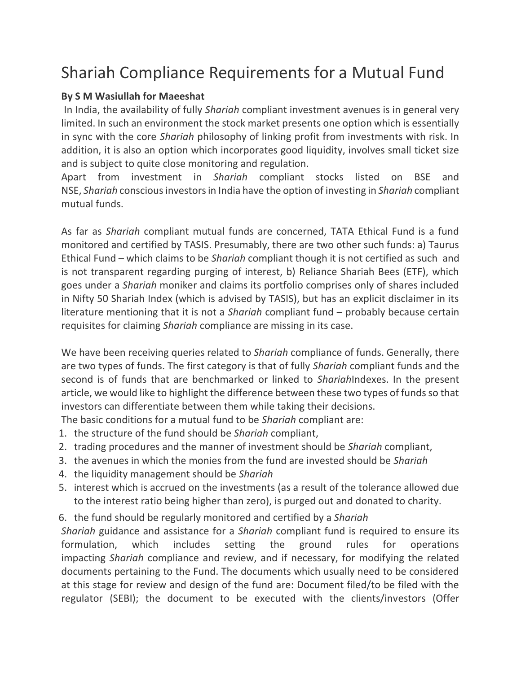## Shariah Compliance Requirements for a Mutual Fund

## **By S M Wasiullah for Maeeshat**

In India, the availability of fully *Shariah* compliant investment avenues is in general very limited. In such an environment the stock market presents one option which is essentially in sync with the core *Shariah* philosophy of linking profit from investments with risk. In addition, it is also an option which incorporates good liquidity, involves small ticket size and is subject to quite close monitoring and regulation.

Apart from investment in *Shariah* compliant stocks listed on BSE and NSE, *Shariah* conscious investors in India have the option of investing in *Shariah* compliant mutual funds.

As far as *Shariah* compliant mutual funds are concerned, TATA Ethical Fund is a fund monitored and certified by TASIS. Presumably, there are two other such funds: a) Taurus Ethical Fund – which claims to be *Shariah* compliant though it is not certified as such and is not transparent regarding purging of interest, b) Reliance Shariah Bees (ETF), which goes under a *Shariah* moniker and claims its portfolio comprises only of shares included in Nifty 50 Shariah Index (which is advised by TASIS), but has an explicit disclaimer in its literature mentioning that it is not a *Shariah* compliant fund – probably because certain requisites for claiming *Shariah* compliance are missing in its case.

We have been receiving queries related to *Shariah* compliance of funds. Generally, there are two types of funds. The first category is that of fully *Shariah* compliant funds and the second is of funds that are benchmarked or linked to *Shariah*Indexes. In the present article, we would like to highlight the difference between these two types of funds so that investors can differentiate between them while taking their decisions.

The basic conditions for a mutual fund to be *Shariah* compliant are:

- 1. the structure of the fund should be *Shariah* compliant,
- 2. trading procedures and the manner of investment should be *Shariah* compliant,
- 3. the avenues in which the monies from the fund are invested should be *Shariah*
- 4. the liquidity management should be *Shariah*
- 5. interest which is accrued on the investments (as a result of the tolerance allowed due to the interest ratio being higher than zero), is purged out and donated to charity.
- 6. the fund should be regularly monitored and certified by a *Shariah*

*Shariah* guidance and assistance for a *Shariah* compliant fund is required to ensure its formulation, which includes setting the ground rules for operations impacting *Shariah* compliance and review, and if necessary, for modifying the related documents pertaining to the Fund. The documents which usually need to be considered at this stage for review and design of the fund are: Document filed/to be filed with the regulator (SEBI); the document to be executed with the clients/investors (Offer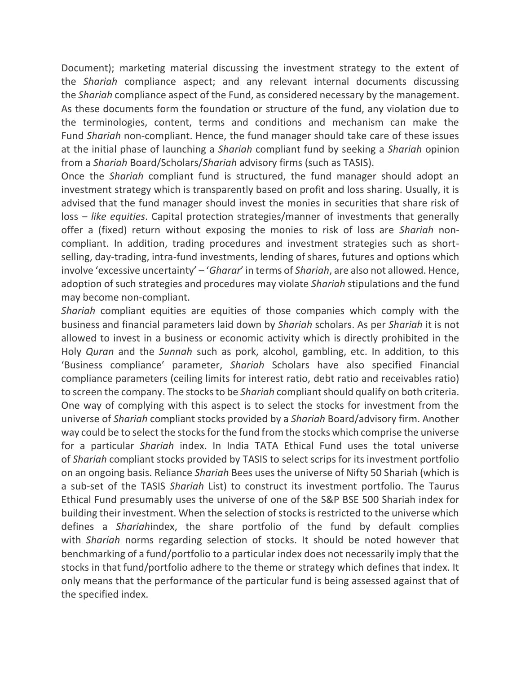Document); marketing material discussing the investment strategy to the extent of the *Shariah* compliance aspect; and any relevant internal documents discussing the *Shariah* compliance aspect of the Fund, as considered necessary by the management. As these documents form the foundation or structure of the fund, any violation due to the terminologies, content, terms and conditions and mechanism can make the Fund *Shariah* non-compliant. Hence, the fund manager should take care of these issues at the initial phase of launching a *Shariah* compliant fund by seeking a *Shariah* opinion from a *Shariah* Board/Scholars/*Shariah* advisory firms (such as TASIS).

Once the *Shariah* compliant fund is structured, the fund manager should adopt an investment strategy which is transparently based on profit and loss sharing. Usually, it is advised that the fund manager should invest the monies in securities that share risk of loss – *like equities*. Capital protection strategies/manner of investments that generally offer a (fixed) return without exposing the monies to risk of loss are *Shariah* noncompliant. In addition, trading procedures and investment strategies such as shortselling, day-trading, intra-fund investments, lending of shares, futures and options which involve 'excessive uncertainty' – '*Gharar*' in terms of *Shariah*, are also not allowed. Hence, adoption of such strategies and procedures may violate *Shariah* stipulations and the fund may become non-compliant.

*Shariah* compliant equities are equities of those companies which comply with the business and financial parameters laid down by *Shariah* scholars. As per *Shariah* it is not allowed to invest in a business or economic activity which is directly prohibited in the Holy *Quran* and the *Sunnah* such as pork, alcohol, gambling, etc. In addition, to this 'Business compliance' parameter, *Shariah* Scholars have also specified Financial compliance parameters (ceiling limits for interest ratio, debt ratio and receivables ratio) to screen the company. The stocks to be *Shariah* compliant should qualify on both criteria. One way of complying with this aspect is to select the stocks for investment from the universe of *Shariah* compliant stocks provided by a *Shariah* Board/advisory firm. Another way could be to select the stocks for the fund from the stocks which comprise the universe for a particular *Shariah* index. In India TATA Ethical Fund uses the total universe of *Shariah* compliant stocks provided by TASIS to select scrips for its investment portfolio on an ongoing basis. Reliance *Shariah* Bees uses the universe of Nifty 50 Shariah (which is a sub-set of the TASIS *Shariah* List) to construct its investment portfolio. The Taurus Ethical Fund presumably uses the universe of one of the S&P BSE 500 Shariah index for building their investment. When the selection of stocks is restricted to the universe which defines a *Shariah*index, the share portfolio of the fund by default complies with *Shariah* norms regarding selection of stocks. It should be noted however that benchmarking of a fund/portfolio to a particular index does not necessarily imply that the stocks in that fund/portfolio adhere to the theme or strategy which defines that index. It only means that the performance of the particular fund is being assessed against that of the specified index.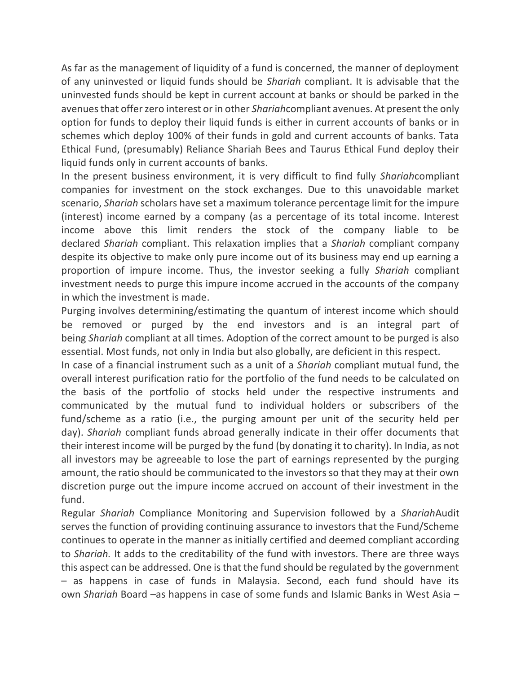As far as the management of liquidity of a fund is concerned, the manner of deployment of any uninvested or liquid funds should be *Shariah* compliant. It is advisable that the uninvested funds should be kept in current account at banks or should be parked in the avenues that offer zero interest or in other *Shariah*compliant avenues. At present the only option for funds to deploy their liquid funds is either in current accounts of banks or in schemes which deploy 100% of their funds in gold and current accounts of banks. Tata Ethical Fund, (presumably) Reliance Shariah Bees and Taurus Ethical Fund deploy their liquid funds only in current accounts of banks.

In the present business environment, it is very difficult to find fully *Shariah*compliant companies for investment on the stock exchanges. Due to this unavoidable market scenario, *Shariah* scholars have set a maximum tolerance percentage limit for the impure (interest) income earned by a company (as a percentage of its total income. Interest income above this limit renders the stock of the company liable to be declared *Shariah* compliant. This relaxation implies that a *Shariah* compliant company despite its objective to make only pure income out of its business may end up earning a proportion of impure income. Thus, the investor seeking a fully *Shariah* compliant investment needs to purge this impure income accrued in the accounts of the company in which the investment is made.

Purging involves determining/estimating the quantum of interest income which should be removed or purged by the end investors and is an integral part of being *Shariah* compliant at all times. Adoption of the correct amount to be purged is also essential. Most funds, not only in India but also globally, are deficient in this respect.

In case of a financial instrument such as a unit of a *Shariah* compliant mutual fund, the overall interest purification ratio for the portfolio of the fund needs to be calculated on the basis of the portfolio of stocks held under the respective instruments and communicated by the mutual fund to individual holders or subscribers of the fund/scheme as a ratio (i.e., the purging amount per unit of the security held per day). *Shariah* compliant funds abroad generally indicate in their offer documents that their interest income will be purged by the fund (by donating it to charity). In India, as not all investors may be agreeable to lose the part of earnings represented by the purging amount, the ratio should be communicated to the investors so that they may at their own discretion purge out the impure income accrued on account of their investment in the fund.

Regular *Shariah* Compliance Monitoring and Supervision followed by a *Shariah*Audit serves the function of providing continuing assurance to investors that the Fund/Scheme continues to operate in the manner as initially certified and deemed compliant according to *Shariah.* It adds to the creditability of the fund with investors. There are three ways this aspect can be addressed. One is that the fund should be regulated by the government – as happens in case of funds in Malaysia. Second, each fund should have its own *Shariah* Board –as happens in case of some funds and Islamic Banks in West Asia –